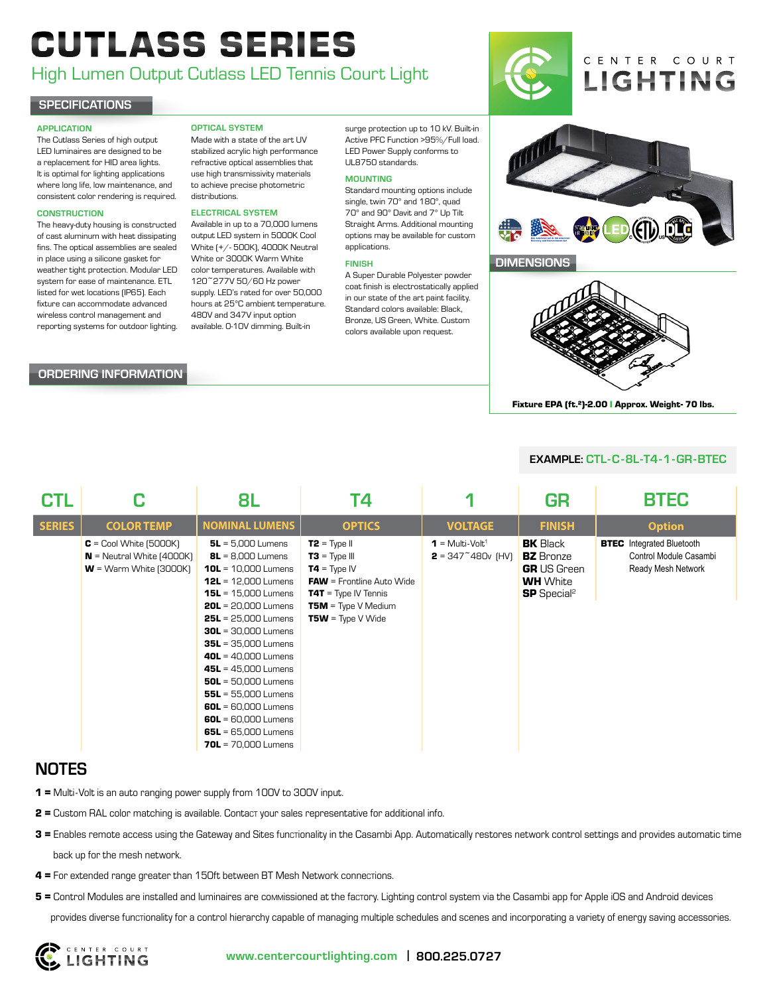# CUTLASS SERIES

# High Lumen Output Cutlass LED Tennis Court Light

#### **SPECIFICATIONS**

#### APPLICATION

The Cutlass Series of high output LED luminaires are designed to be a replacement for HID area lights. It is optimal for lighting applications where long life, low maintenance, and consistent color rendering is required.

#### **CONSTRUCTION**

The heavy-duty housing is constructed of cast aluminum with heat dissipating fins. The optical assemblies are sealed in place using a silicone gasket for weather tight protection. Modular LED color temperatures. Available with system for ease of maintenance. ETL listed for wet locations (IP65). Each fixture can accommodate advanced wireless control management and reporting systems for outdoor lighting.

#### ORDERING INFORMATION

#### OPTICAL SYSTEM

Made with a state of the art UV stabilized acrylic high performance refractive optical assemblies that use high transmissivity materials to achieve precise photometric distributions.

#### ELECTRICAL SYSTEM

Available in up to a 70,000 lumens output LED system in 5000K Cool White (+/- 500K), 4000K Neutral White or 3000K Warm White 120~277V 50/60 Hz power supply. LED's rated for over 50,000 hours at 25°C ambient temperature. 480V and 347V input option available. 0-10V dimming. Built-in

surge protection up to 10 kV. Built-in Active PFC Function >95%/Full load. LED Power Supply conforms to UL8750 standards.

#### MOUNTING

Standard mounting options include single, twin 70° and 180°, quad 70° and 90° Davit and 7° Up Tilt Straight Arms. Additional mounting options may be available for custom applications.

#### FINISH

A Super Durable Polyester powder coat finish is electrostatically applied in our state of the art paint facility. Standard colors available: Black, Bronze, US Green, White. Custom colors available upon request.





**DIMENSIONS** 



Fixture EPA (ft.<sup>2</sup>)-2.00 | Approx. Weight- 70 lbs.

#### EXAMPLE: CTL-C-8L-T4-1-GR-BTEC

| <b>CTL</b>    |                                                                                                      | 8L                                                                                                                                                                                                                                                                                                                                                                                                                                              | Τ4                                                                                                                                                                               |                                                                               | GR                                                                                                             | <b>BTEC</b>                                                                      |
|---------------|------------------------------------------------------------------------------------------------------|-------------------------------------------------------------------------------------------------------------------------------------------------------------------------------------------------------------------------------------------------------------------------------------------------------------------------------------------------------------------------------------------------------------------------------------------------|----------------------------------------------------------------------------------------------------------------------------------------------------------------------------------|-------------------------------------------------------------------------------|----------------------------------------------------------------------------------------------------------------|----------------------------------------------------------------------------------|
| <b>SERIES</b> | <b>COLOR TEMP</b>                                                                                    | <b>NOMINAL LUMENS</b>                                                                                                                                                                                                                                                                                                                                                                                                                           | <b>OPTICS</b>                                                                                                                                                                    | <b>VOLTAGE</b>                                                                | <b>FINISH</b>                                                                                                  | <b>Option</b>                                                                    |
|               | $C = \text{Cool White}(\overline{5000K})$<br>$N =$ Neutral White (4000K)<br>$W = Warm White (3000K)$ | $5L = 5,000$ Lumens<br>$BL = 8,000$ Lumens<br><b>10L</b> = $10,000$ Lumens<br><b>12L</b> = $12,000$ Lumens<br>$15L = 15,000$ Lumens<br>$20L = 20,000$ Lumens<br>$25L = 25,000$ Lumens<br>$30L = 30,000$ Lumens<br>$35L = 35,000$ Lumens<br>$40L = 40,000$ Lumens<br>$45L = 45,000$ Lumens<br>$50L = 50,000$ Lumens<br>$55L = 55,000$ Lumens<br>$60L = 60,000$ Lumens<br>$60L = 60,000$ Lumens<br>$65L = 65,000$ Lumens<br>$70L = 70,000$ Lumens | $T2 = Type II$<br>$TS = Type III$<br>$T4 = Type IV$<br><b>FAW</b> = Frontline Auto Wide<br><b>T4T</b> = Type IV Tennis<br><b>T5M</b> = Type V Medium<br><b>T5W</b> = Type V Wide | $1 = Multi-Volt1$<br><b>2</b> = 347 <sup><math>\sim</math></sup> 480 $v$ (HV) | <b>BK</b> Black<br><b>BZ</b> Bronze<br><b>GR</b> US Green<br><b>WH</b> White<br><b>SP</b> Special <sup>2</sup> | <b>BTEC</b> Integrated Bluetooth<br>Control Module Casambi<br>Ready Mesh Network |

## **NOTES**

- 1 = Multi-Volt is an auto ranging power supply from 100V to 300V input.
- 2 = Custom RAL color matching is available. Contact your sales representative for additional info.
- 3 = Enables remote access using the Gateway and Sites funcrionality in the Casambi App. Automatically restores network control settings and provides automatic time back up for the mesh network.
- $4$  = For extended range greater than 150ft between BT Mesh Network connections.
- 5 = Control Modules are installed and luminaires are commissioned at the factory. Lighting control system via the Casambi app for Apple iOS and Android devices provides diverse functionality for a control hierarchy capable of managing multiple schedules and scenes and incorporating a variety of energy saving accessories.